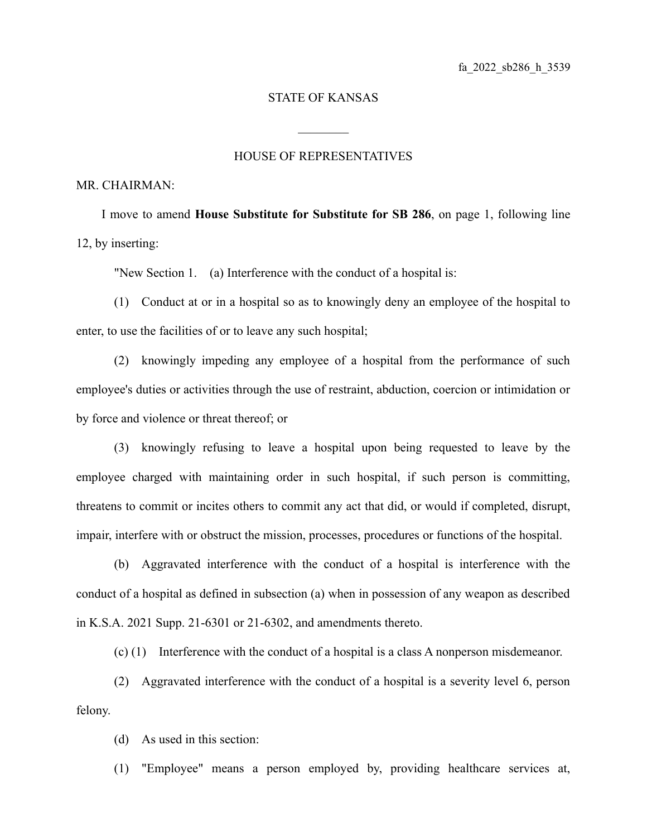## STATE OF KANSAS

 $\mathcal{L}_\text{max}$ 

## HOUSE OF REPRESENTATIVES

## MR. CHAIRMAN:

I move to amend **House Substitute for Substitute for SB 286**, on page 1, following line 12, by inserting:

"New Section 1. (a) Interference with the conduct of a hospital is:

(1) Conduct at or in a hospital so as to knowingly deny an employee of the hospital to enter, to use the facilities of or to leave any such hospital;

(2) knowingly impeding any employee of a hospital from the performance of such employee's duties or activities through the use of restraint, abduction, coercion or intimidation or by force and violence or threat thereof; or

(3) knowingly refusing to leave a hospital upon being requested to leave by the employee charged with maintaining order in such hospital, if such person is committing, threatens to commit or incites others to commit any act that did, or would if completed, disrupt, impair, interfere with or obstruct the mission, processes, procedures or functions of the hospital.

(b) Aggravated interference with the conduct of a hospital is interference with the conduct of a hospital as defined in subsection (a) when in possession of any weapon as described in K.S.A. 2021 Supp. 21-6301 or 21-6302, and amendments thereto.

(c) (1) Interference with the conduct of a hospital is a class A nonperson misdemeanor.

(2) Aggravated interference with the conduct of a hospital is a severity level 6, person felony.

(d) As used in this section:

(1) "Employee" means a person employed by, providing healthcare services at,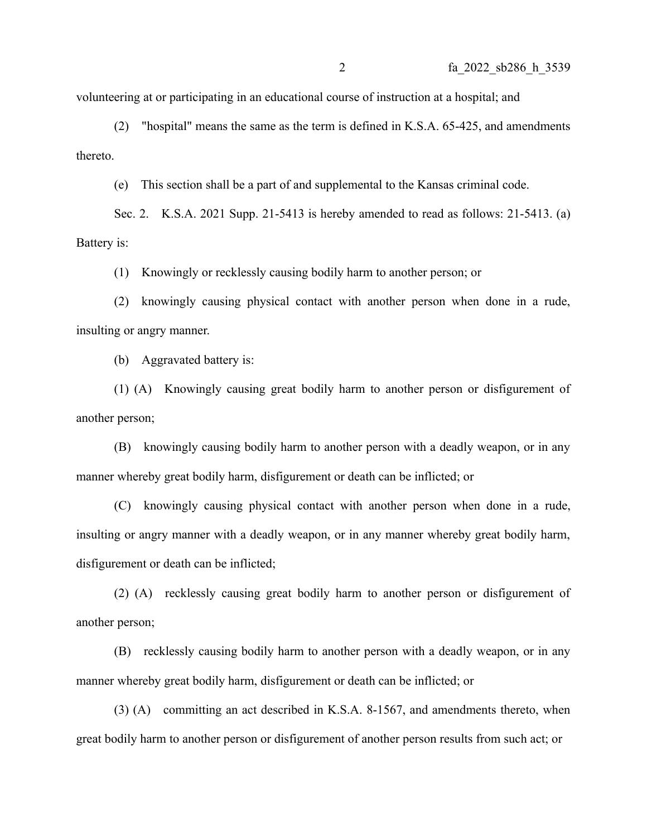volunteering at or participating in an educational course of instruction at a hospital; and

(2) "hospital" means the same as the term is defined in K.S.A. 65-425, and amendments thereto.

(e) This section shall be a part of and supplemental to the Kansas criminal code.

Sec. 2. K.S.A. 2021 Supp. 21-5413 is hereby amended to read as follows: 21-5413. (a) Battery is:

(1) Knowingly or recklessly causing bodily harm to another person; or

(2) knowingly causing physical contact with another person when done in a rude, insulting or angry manner.

(b) Aggravated battery is:

(1) (A) Knowingly causing great bodily harm to another person or disfigurement of another person;

(B) knowingly causing bodily harm to another person with a deadly weapon, or in any manner whereby great bodily harm, disfigurement or death can be inflicted; or

(C) knowingly causing physical contact with another person when done in a rude, insulting or angry manner with a deadly weapon, or in any manner whereby great bodily harm, disfigurement or death can be inflicted;

(2) (A) recklessly causing great bodily harm to another person or disfigurement of another person;

(B) recklessly causing bodily harm to another person with a deadly weapon, or in any manner whereby great bodily harm, disfigurement or death can be inflicted; or

(3) (A) committing an act described in K.S.A. 8-1567, and amendments thereto, when great bodily harm to another person or disfigurement of another person results from such act; or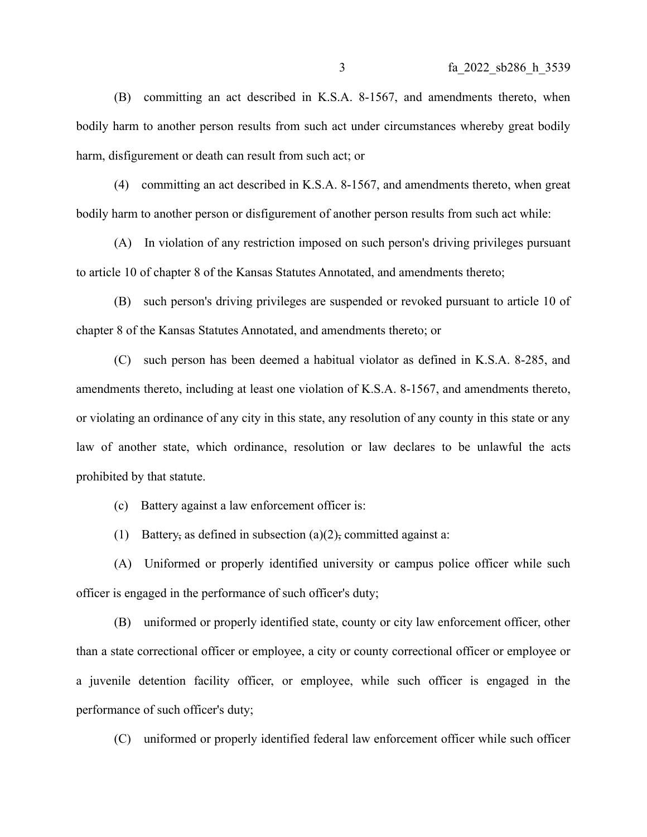(B) committing an act described in K.S.A. 8-1567, and amendments thereto, when bodily harm to another person results from such act under circumstances whereby great bodily harm, disfigurement or death can result from such act; or

(4) committing an act described in K.S.A. 8-1567, and amendments thereto, when great bodily harm to another person or disfigurement of another person results from such act while:

(A) In violation of any restriction imposed on such person's driving privileges pursuant to article 10 of chapter 8 of the Kansas Statutes Annotated, and amendments thereto;

(B) such person's driving privileges are suspended or revoked pursuant to article 10 of chapter 8 of the Kansas Statutes Annotated, and amendments thereto; or

(C) such person has been deemed a habitual violator as defined in K.S.A. 8-285, and amendments thereto, including at least one violation of K.S.A. 8-1567, and amendments thereto, or violating an ordinance of any city in this state, any resolution of any county in this state or any law of another state, which ordinance, resolution or law declares to be unlawful the acts prohibited by that statute.

(c) Battery against a law enforcement officer is:

(1) Battery, as defined in subsection (a)(2), committed against a:

(A) Uniformed or properly identified university or campus police officer while such officer is engaged in the performance of such officer's duty;

(B) uniformed or properly identified state, county or city law enforcement officer, other than a state correctional officer or employee, a city or county correctional officer or employee or a juvenile detention facility officer, or employee, while such officer is engaged in the performance of such officer's duty;

(C) uniformed or properly identified federal law enforcement officer while such officer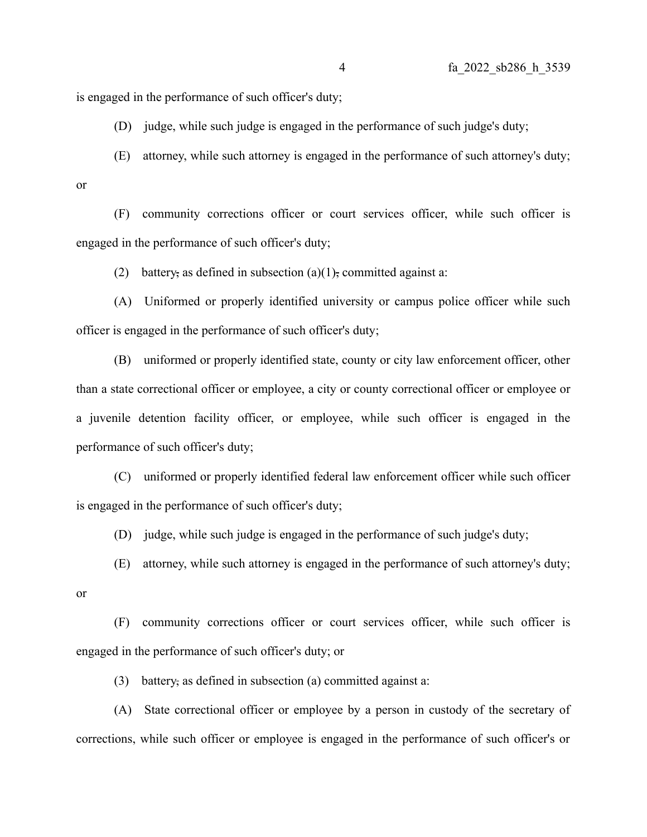is engaged in the performance of such officer's duty;

(D) judge, while such judge is engaged in the performance of such judge's duty;

(E) attorney, while such attorney is engaged in the performance of such attorney's duty; or

(F) community corrections officer or court services officer, while such officer is engaged in the performance of such officer's duty;

(2) battery, as defined in subsection (a)(1), committed against a:

(A) Uniformed or properly identified university or campus police officer while such officer is engaged in the performance of such officer's duty;

(B) uniformed or properly identified state, county or city law enforcement officer, other than a state correctional officer or employee, a city or county correctional officer or employee or a juvenile detention facility officer, or employee, while such officer is engaged in the performance of such officer's duty;

(C) uniformed or properly identified federal law enforcement officer while such officer is engaged in the performance of such officer's duty;

(D) judge, while such judge is engaged in the performance of such judge's duty;

(E) attorney, while such attorney is engaged in the performance of such attorney's duty;

or

(F) community corrections officer or court services officer, while such officer is engaged in the performance of such officer's duty; or

(3) battery, as defined in subsection (a) committed against a:

(A) State correctional officer or employee by a person in custody of the secretary of corrections, while such officer or employee is engaged in the performance of such officer's or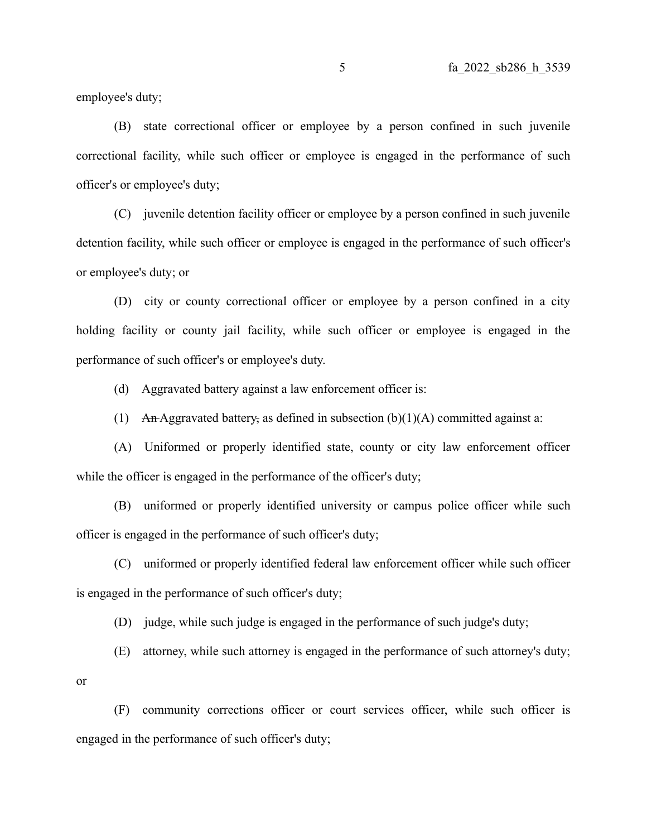employee's duty;

(B) state correctional officer or employee by a person confined in such juvenile correctional facility, while such officer or employee is engaged in the performance of such officer's or employee's duty;

(C) juvenile detention facility officer or employee by a person confined in such juvenile detention facility, while such officer or employee is engaged in the performance of such officer's or employee's duty; or

(D) city or county correctional officer or employee by a person confined in a city holding facility or county jail facility, while such officer or employee is engaged in the performance of such officer's or employee's duty.

(d) Aggravated battery against a law enforcement officer is:

(1) An-Aggravated battery, as defined in subsection  $(b)(1)(A)$  committed against a:

(A) Uniformed or properly identified state, county or city law enforcement officer while the officer is engaged in the performance of the officer's duty;

(B) uniformed or properly identified university or campus police officer while such officer is engaged in the performance of such officer's duty;

(C) uniformed or properly identified federal law enforcement officer while such officer is engaged in the performance of such officer's duty;

(D) judge, while such judge is engaged in the performance of such judge's duty;

(E) attorney, while such attorney is engaged in the performance of such attorney's duty;

or

(F) community corrections officer or court services officer, while such officer is engaged in the performance of such officer's duty;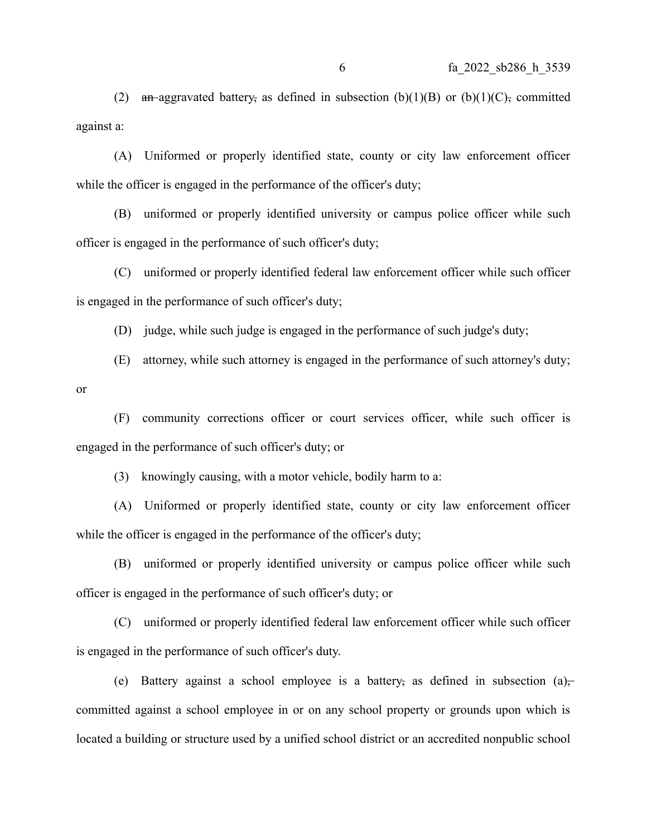(2) an aggravated battery, as defined in subsection  $(b)(1)(B)$  or  $(b)(1)(C)$ , committed against a:

(A) Uniformed or properly identified state, county or city law enforcement officer while the officer is engaged in the performance of the officer's duty;

(B) uniformed or properly identified university or campus police officer while such officer is engaged in the performance of such officer's duty;

(C) uniformed or properly identified federal law enforcement officer while such officer is engaged in the performance of such officer's duty;

(D) judge, while such judge is engaged in the performance of such judge's duty;

(E) attorney, while such attorney is engaged in the performance of such attorney's duty;

or

(F) community corrections officer or court services officer, while such officer is engaged in the performance of such officer's duty; or

(3) knowingly causing, with a motor vehicle, bodily harm to a:

(A) Uniformed or properly identified state, county or city law enforcement officer while the officer is engaged in the performance of the officer's duty;

(B) uniformed or properly identified university or campus police officer while such officer is engaged in the performance of such officer's duty; or

(C) uniformed or properly identified federal law enforcement officer while such officer is engaged in the performance of such officer's duty.

(e) Battery against a school employee is a battery, as defined in subsection (a), committed against a school employee in or on any school property or grounds upon which is located a building or structure used by a unified school district or an accredited nonpublic school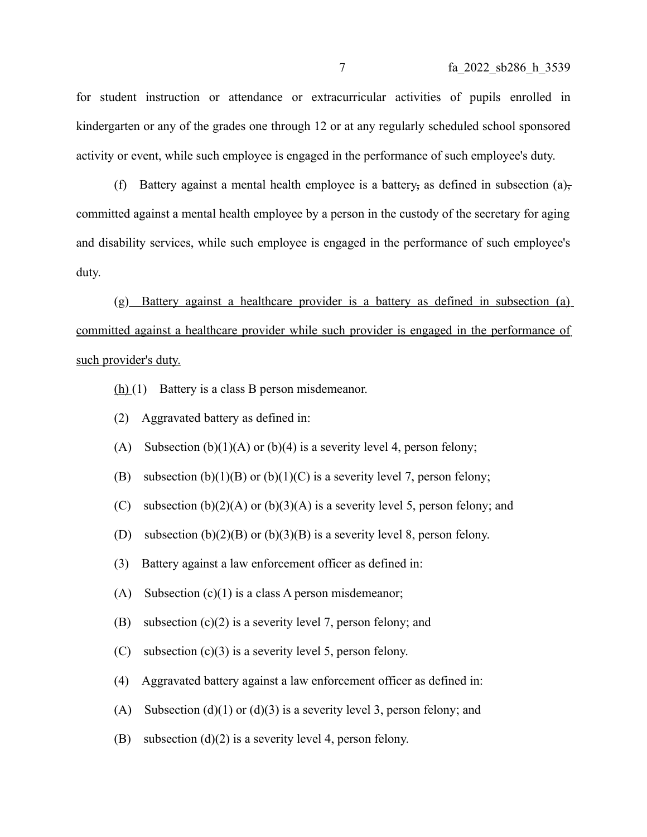for student instruction or attendance or extracurricular activities of pupils enrolled in kindergarten or any of the grades one through 12 or at any regularly scheduled school sponsored activity or event, while such employee is engaged in the performance of such employee's duty.

(f) Battery against a mental health employee is a battery, as defined in subsection (a), committed against a mental health employee by a person in the custody of the secretary for aging and disability services, while such employee is engaged in the performance of such employee's duty.

(g) Battery against a healthcare provider is a battery as defined in subsection (a) committed against a healthcare provider while such provider is engaged in the performance of such provider's duty.

- $(h)(1)$  Battery is a class B person misdemeanor.
- (2) Aggravated battery as defined in:
- (A) Subsection  $(b)(1)(A)$  or  $(b)(4)$  is a severity level 4, person felony;
- (B) subsection  $(b)(1)(B)$  or  $(b)(1)(C)$  is a severity level 7, person felony;
- (C) subsection  $(b)(2)(A)$  or  $(b)(3)(A)$  is a severity level 5, person felony; and
- (D) subsection  $(b)(2)(B)$  or  $(b)(3)(B)$  is a severity level 8, person felony.
- (3) Battery against a law enforcement officer as defined in:
- (A) Subsection  $(c)(1)$  is a class A person misdemeanor;
- (B) subsection  $(c)(2)$  is a severity level 7, person felony; and
- (C) subsection (c)(3) is a severity level 5, person felony.
- (4) Aggravated battery against a law enforcement officer as defined in:
- (A) Subsection (d)(1) or (d)(3) is a severity level 3, person felony; and
- (B) subsection (d)(2) is a severity level 4, person felony.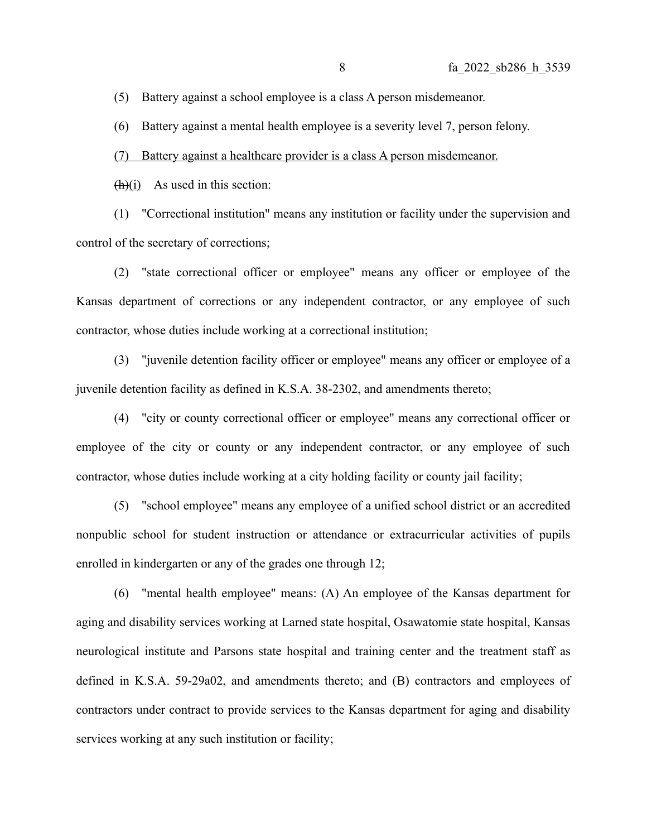(5) Battery against a school employee is a class A person misdemeanor.

(6) Battery against a mental health employee is a severity level 7, person felony.

(7) Battery against a healthcare provider is a class A person misdemeanor.

 $(h)(i)$  As used in this section:

(1) "Correctional institution" means any institution or facility under the supervision and control of the secretary of corrections;

(2) "state correctional officer or employee" means any officer or employee of the Kansas department of corrections or any independent contractor, or any employee of such contractor, whose duties include working at a correctional institution;

(3) "juvenile detention facility officer or employee" means any officer or employee of a juvenile detention facility as defined in K.S.A. 38-2302, and amendments thereto;

(4) "city or county correctional officer or employee" means any correctional officer or employee of the city or county or any independent contractor, or any employee of such contractor, whose duties include working at a city holding facility or county jail facility;

(5) "school employee" means any employee of a unified school district or an accredited nonpublic school for student instruction or attendance or extracurricular activities of pupils enrolled in kindergarten or any of the grades one through 12;

(6) "mental health employee" means: (A) An employee of the Kansas department for aging and disability services working at Larned state hospital, Osawatomie state hospital, Kansas neurological institute and Parsons state hospital and training center and the treatment staff as defined in K.S.A. 59-29a02, and amendments thereto; and (B) contractors and employees of contractors under contract to provide services to the Kansas department for aging and disability services working at any such institution or facility;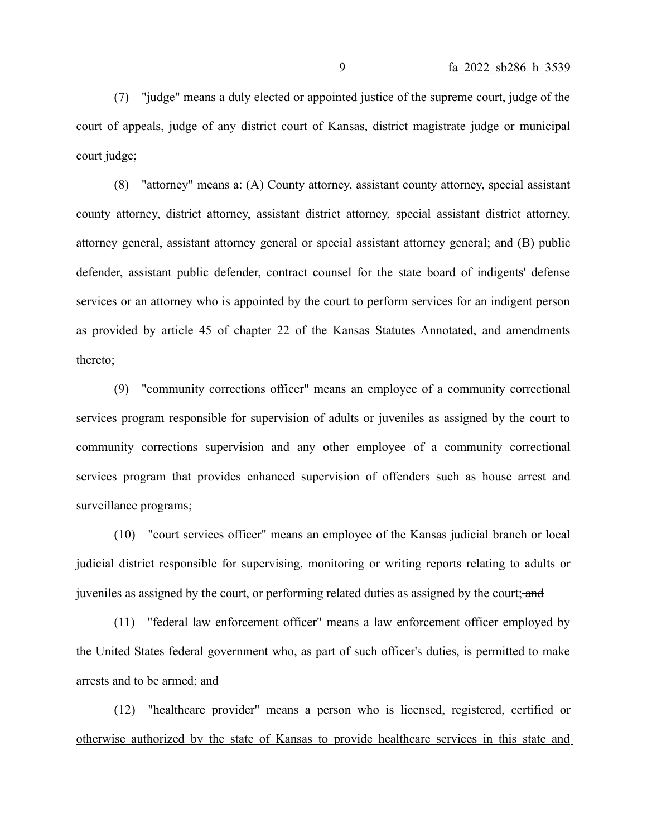(7) "judge" means a duly elected or appointed justice of the supreme court, judge of the court of appeals, judge of any district court of Kansas, district magistrate judge or municipal court judge;

(8) "attorney" means a: (A) County attorney, assistant county attorney, special assistant county attorney, district attorney, assistant district attorney, special assistant district attorney, attorney general, assistant attorney general or special assistant attorney general; and (B) public defender, assistant public defender, contract counsel for the state board of indigents' defense services or an attorney who is appointed by the court to perform services for an indigent person as provided by article 45 of chapter 22 of the Kansas Statutes Annotated, and amendments thereto;

(9) "community corrections officer" means an employee of a community correctional services program responsible for supervision of adults or juveniles as assigned by the court to community corrections supervision and any other employee of a community correctional services program that provides enhanced supervision of offenders such as house arrest and surveillance programs;

(10) "court services officer" means an employee of the Kansas judicial branch or local judicial district responsible for supervising, monitoring or writing reports relating to adults or juveniles as assigned by the court, or performing related duties as assigned by the court; and

(11) "federal law enforcement officer" means a law enforcement officer employed by the United States federal government who, as part of such officer's duties, is permitted to make arrests and to be armed; and

(12) "healthcare provider" means a person who is licensed, registered, certified or otherwise authorized by the state of Kansas to provide healthcare services in this state and